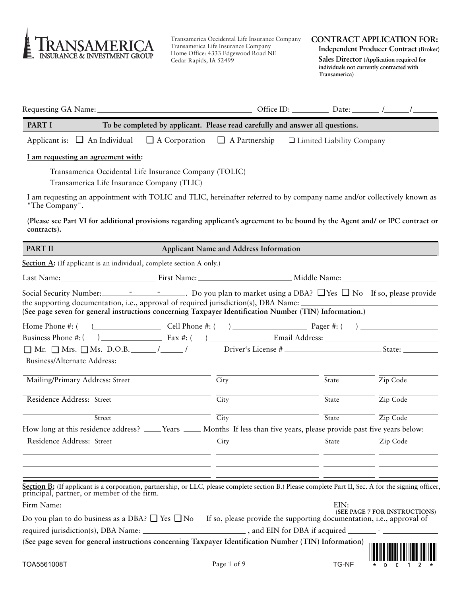

Transamerica Occidental Life Insurance Company Transamerica Life Insurance Company Home Office: 4333 Edgewood Road NE Cedar Rapids, IA 52499

**CONTRACT APPLICATION FOR: Independent Producer Contract (Broker)**

 **Sales Director (Application required for individuals not currently contracted with Transamerica)**

| PART I                                                                                                                                                                                                                                                                                                                           | To be completed by applicant. Please read carefully and answer all questions. |                                               |              |          |
|----------------------------------------------------------------------------------------------------------------------------------------------------------------------------------------------------------------------------------------------------------------------------------------------------------------------------------|-------------------------------------------------------------------------------|-----------------------------------------------|--------------|----------|
| Applicant is: $\Box$ An Individual $\Box$ A Corporation $\Box$ A Partnership $\Box$ Limited Liability Company                                                                                                                                                                                                                    |                                                                               |                                               |              |          |
| I am requesting an agreement with:                                                                                                                                                                                                                                                                                               |                                                                               |                                               |              |          |
| Transamerica Occidental Life Insurance Company (TOLIC)<br>Transamerica Life Insurance Company (TLIC)                                                                                                                                                                                                                             |                                                                               |                                               |              |          |
| I am requesting an appointment with TOLIC and TLIC, hereinafter referred to by company name and/or collectively known as<br>"The Company".                                                                                                                                                                                       |                                                                               |                                               |              |          |
| (Please see Part VI for additional provisions regarding applicant's agreement to be bound by the Agent and/ or IPC contract or<br>contracts).                                                                                                                                                                                    |                                                                               |                                               |              |          |
| PART II                                                                                                                                                                                                                                                                                                                          |                                                                               | <b>Applicant Name and Address Information</b> |              |          |
| <b>Section A:</b> (If applicant is an individual, complete section A only.)                                                                                                                                                                                                                                                      |                                                                               |                                               |              |          |
|                                                                                                                                                                                                                                                                                                                                  |                                                                               |                                               |              |          |
| Social Security Number: ________________________. Do you plan to market using a DBA? $\Box$ Yes $\Box$ No If so, please provide<br>the supporting documentation, i.e., approval of required jurisdiction(s), DBA Name:<br>(See page seven for general instructions concerning Taxpayer Identification Number (TIN) Information.) |                                                                               |                                               |              |          |
|                                                                                                                                                                                                                                                                                                                                  |                                                                               |                                               |              |          |
|                                                                                                                                                                                                                                                                                                                                  |                                                                               |                                               |              |          |
|                                                                                                                                                                                                                                                                                                                                  |                                                                               |                                               |              |          |
| Business/Alternate Address:                                                                                                                                                                                                                                                                                                      |                                                                               |                                               |              |          |
| Mailing/Primary Address: Street                                                                                                                                                                                                                                                                                                  |                                                                               | City                                          | State        | Zip Code |
| Residence Address: Street                                                                                                                                                                                                                                                                                                        |                                                                               | City                                          | State        | Zip Code |
| Street                                                                                                                                                                                                                                                                                                                           |                                                                               | $\overline{City}$                             | <b>State</b> | Zip Code |
| How long at this residence address? ____Years ____ Months If less than five years, please provide past five years below:                                                                                                                                                                                                         |                                                                               |                                               |              |          |
| Residence Address: Street                                                                                                                                                                                                                                                                                                        |                                                                               | City                                          | State        | Zip Code |
| <u> 1989 - Andrea Santa Andrea Andrea Andrea Andrea Andrea Andrea Andrea Andrea Andrea Andrea Andrea Andrea Andr</u><br>Section B: (If applicant is a corporation, partnership, or LLC, please complete section B.) Please complete Part II, Sec. A for the signing officer, principal, partner, or member of the firm.          |                                                                               |                                               |              |          |
|                                                                                                                                                                                                                                                                                                                                  |                                                                               |                                               |              |          |
|                                                                                                                                                                                                                                                                                                                                  |                                                                               |                                               |              |          |
| Do you plan to do business as a DBA? $\Box$ Yes $\Box$ No If so, please provide the supporting documentation, i.e., approval of                                                                                                                                                                                                  |                                                                               |                                               |              |          |
| required jurisdiction(s), DBA Name: ________________________________, and EIN for DBA if acquired ____________                                                                                                                                                                                                                   |                                                                               |                                               |              |          |
| (See page seven for general instructions concerning Taxpayer Identification Number (TIN) Information)                                                                                                                                                                                                                            |                                                                               |                                               |              |          |
| TOA5561008T                                                                                                                                                                                                                                                                                                                      |                                                                               | Page 1 of 9                                   | <b>TG-NF</b> |          |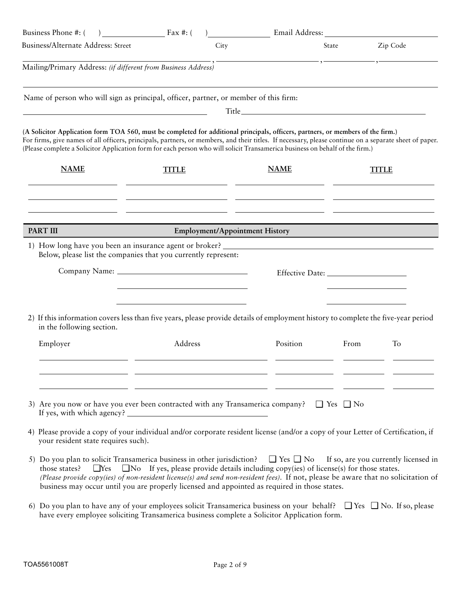| Business Phone #: (                                                                                                                                                                                                                                                                                                                                                                                                                                                                | $\text{Fax}\;$ #: ( |                                                                                                     | Email Address: |      |              |
|------------------------------------------------------------------------------------------------------------------------------------------------------------------------------------------------------------------------------------------------------------------------------------------------------------------------------------------------------------------------------------------------------------------------------------------------------------------------------------|---------------------|-----------------------------------------------------------------------------------------------------|----------------|------|--------------|
| <b>Business/Alternate Address: Street</b>                                                                                                                                                                                                                                                                                                                                                                                                                                          |                     | City                                                                                                | State          |      | Zip Code     |
| Mailing/Primary Address: (if different from Business Address)                                                                                                                                                                                                                                                                                                                                                                                                                      |                     |                                                                                                     |                |      |              |
| Name of person who will sign as principal, officer, partner, or member of this firm:                                                                                                                                                                                                                                                                                                                                                                                               |                     |                                                                                                     |                |      |              |
| <u> 1989 - Johann Stein, fransk politik (* 1958)</u><br>(A Solicitor Application form TOA 560, must be completed for additional principals, officers, partners, or members of the firm.)<br>For firms, give names of all officers, principals, partners, or members, and their titles. If necessary, please continue on a separate sheet of paper.<br>(Please complete a Solicitor Application form for each person who will solicit Transamerica business on behalf of the firm.) |                     |                                                                                                     |                |      |              |
| <b>NAME</b>                                                                                                                                                                                                                                                                                                                                                                                                                                                                        | <b>TITLE</b>        |                                                                                                     | <b>NAME</b>    |      | <b>TITLE</b> |
|                                                                                                                                                                                                                                                                                                                                                                                                                                                                                    |                     |                                                                                                     |                |      |              |
| <b>PART III</b>                                                                                                                                                                                                                                                                                                                                                                                                                                                                    |                     | <b>Employment/Appointment History</b>                                                               |                |      |              |
| 1) How long have you been an insurance agent or broker?<br>Below, please list the companies that you currently represent:                                                                                                                                                                                                                                                                                                                                                          |                     |                                                                                                     |                |      |              |
|                                                                                                                                                                                                                                                                                                                                                                                                                                                                                    |                     |                                                                                                     |                |      |              |
| 2) If this information covers less than five years, please provide details of employment history to complete the five-year period                                                                                                                                                                                                                                                                                                                                                  |                     |                                                                                                     |                |      |              |
| in the following section.                                                                                                                                                                                                                                                                                                                                                                                                                                                          |                     |                                                                                                     |                |      |              |
| Employer                                                                                                                                                                                                                                                                                                                                                                                                                                                                           | Address             |                                                                                                     | Position       | From | To           |
|                                                                                                                                                                                                                                                                                                                                                                                                                                                                                    |                     | <u> 1990 - Jan Salaman (b. 1980)</u><br><u> 1989 - Johann Stoff, amerikansk politiker (d. 1989)</u> |                |      |              |
| 3) Are you now or have you ever been contracted with any Transamerica company? $\Box$ Yes $\Box$ No                                                                                                                                                                                                                                                                                                                                                                                |                     |                                                                                                     |                |      |              |
| 4) Please provide a copy of your individual and/or corporate resident license (and/or a copy of your Letter of Certification, if                                                                                                                                                                                                                                                                                                                                                   |                     |                                                                                                     |                |      |              |

- your resident state requires such). 5) Do you plan to solicit Transamerica business in other jurisdiction?  $\Box$  Yes  $\Box$  No If so, are you currently licensed in
- those states?  $\Box$  Yes  $\Box$  No If yes, please provide details including copy(ies) of license(s) for those states. *(Please provide copy(ies) of non-resident license(s) and send non-resident fees).* If not, please be aware that no solicitation of business may occur until you are properly licensed and appointed as required in those states.
- 6) Do you plan to have any of your employees solicit Transamerica business on your behalf? □ Yes □ No. If so, please have every employee soliciting Transamerica business complete a Solicitor Application form.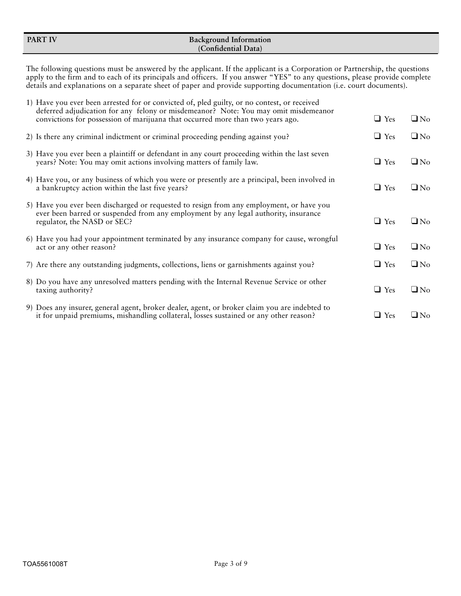### **Background Information (Confidential Data)**

The following questions must be answered by the applicant. If the applicant is a Corporation or Partnership, the questions apply to the firm and to each of its principals and officers. If you answer "YES" to any questions, please provide complete details and explanations on a separate sheet of paper and provide supporting documentation (i.e. court documents).

| 1) Have you ever been arrested for or convicted of, pled guilty, or no contest, or received                                                                                                                    |            |           |
|----------------------------------------------------------------------------------------------------------------------------------------------------------------------------------------------------------------|------------|-----------|
| deferred adjudication for any felony or misdemeanor? Note: You may omit misdemeanor<br>convictions for possession of marijuana that occurred more than two years ago.                                          | $\Box$ Yes | $\Box$ No |
| 2) Is there any criminal indictment or criminal proceeding pending against you?                                                                                                                                | $\Box$ Yes | $\Box$ No |
| 3) Have you ever been a plaintiff or defendant in any court proceeding within the last seven<br>years? Note: You may omit actions involving matters of family law.                                             | $\Box$ Yes | $\Box$ No |
| 4) Have you, or any business of which you were or presently are a principal, been involved in<br>a bankruptcy action within the last five years?                                                               | $\Box$ Yes | $\Box$ No |
| 5) Have you ever been discharged or requested to resign from any employment, or have you<br>ever been barred or suspended from any employment by any legal authority, insurance<br>regulator, the NASD or SEC? | $\Box$ Yes | $\Box$ No |
| 6) Have you had your appointment terminated by any insurance company for cause, wrongful<br>act or any other reason?                                                                                           | $\Box$ Yes | $\Box$ No |
| 7) Are there any outstanding judgments, collections, liens or garnishments against you?                                                                                                                        | $\Box$ Yes | $\Box$ No |
| 8) Do you have any unresolved matters pending with the Internal Revenue Service or other<br>taxing authority?                                                                                                  | $\Box$ Yes | $\Box$ No |
| 9) Does any insurer, general agent, broker dealer, agent, or broker claim you are indebted to<br>it for unpaid premiums, mishandling collateral, losses sustained or any other reason?                         | $\Box$ Yes | $\Box$ No |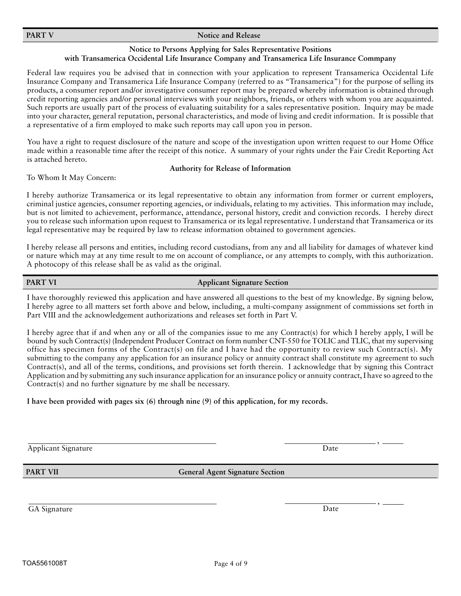**PART V** Notice and Release

## **Notice to Persons Applying for Sales Representative Positions**

# **with Transamerica Occidental Life Insurance Company and Transamerica Life Insurance Commpany**

Federal law requires you be advised that in connection with your application to represent Transamerica Occidental Life Insurance Company and Transamerica Life Insurance Company (referred to as "Transamerica") for the purpose of selling its products, a consumer report and/or investigative consumer report may be prepared whereby information is obtained through credit reporting agencies and/or personal interviews with your neighbors, friends, or others with whom you are acquainted. Such reports are usually part of the process of evaluating suitability for a sales representative position. Inquiry may be made into your character, general reputation, personal characteristics, and mode of living and credit information. It is possible that a representative of a firm employed to make such reports may call upon you in person.

You have a right to request disclosure of the nature and scope of the investigation upon written request to our Home Office made within a reasonable time after the receipt of this notice. A summary of your rights under the Fair Credit Reporting Act is attached hereto.

### **Authority for Release of Information**

To Whom It May Concern:

I hereby authorize Transamerica or its legal representative to obtain any information from former or current employers, criminal justice agencies, consumer reporting agencies, or individuals, relating to my activities. This information may include, but is not limited to achievement, performance, attendance, personal history, credit and conviction records. I hereby direct you to release such information upon request to Transamerica or its legal representative. I understand that Transamerica or its legal representative may be required by law to release information obtained to government agencies.

I hereby release all persons and entities, including record custodians, from any and all liability for damages of whatever kind or nature which may at any time result to me on account of compliance, or any attempts to comply, with this authorization. A photocopy of this release shall be as valid as the original.

### **PART VI** Applicant Signature Section

I have thoroughly reviewed this application and have answered all questions to the best of my knowledge. By signing below, I hereby agree to all matters set forth above and below, including, a multi-company assignment of commissions set forth in Part VIII and the acknowledgement authorizations and releases set forth in Part V.

I hereby agree that if and when any or all of the companies issue to me any Contract(s) for which I hereby apply, I will be bound by such Contract(s) (Independent Producer Contract on form number CNT-550 for TOLIC and TLIC, that my supervising office has specimen forms of the Contract(s) on file and I have had the opportunity to review such Contract(s). My submitting to the company any application for an insurance policy or annuity contract shall constitute my agreement to such Contract(s), and all of the terms, conditions, and provisions set forth therein. I acknowledge that by signing this Contract Application and by submitting any such insurance application for an insurance policy or annuity contract, I have so agreed to the Contract(s) and no further signature by me shall be necessary.

**I have been provided with pages six (6) through nine (9) of this application, for my records.**

Applicant Signature Date Date of the Date of the Date of the Date of the Date of the Date of the Date of the D

,

,

**PART VII** General Agent Signature Section

GA Signature Date Date of the United States of the United States of the United States of the United States of the United States of the United States of the United States of the United States of the United States of the Uni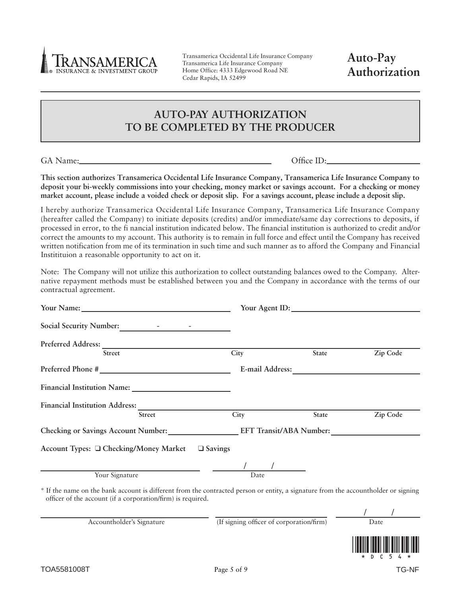

Transamerica Occidental Life Insurance Company Transamerica Life Insurance Company Home Office: 4333 Edgewood Road NE Cedar Rapids, IA 52499

**Auto-Pay Authorization**

# **AUTO-PAY AUTHORIZATION TO BE COMPLETED BY THE PRODUCER**

GA Name: Office ID:

**This section authorizes Transamerica Occidental Life Insurance Company, Transamerica Life Insurance Company to deposit your bi-weekly commissions into your checking, money market or savings account. For a checking or money market account, please include a voided check or deposit slip. For a savings account, please include a deposit slip.**

I hereby authorize Transamerica Occidental Life Insurance Company, Transamerica Life Insurance Company (hereafter called the Company) to initiate deposits (credits) and/or immediate/same day corrections to deposits, if processed in error, to the fi nancial institution indicated below. The financial institution is authorized to credit and/or correct the amounts to my account. This authority is to remain in full force and effect until the Company has received written notification from me of its termination in such time and such manner as to afford the Company and Financial Institituion a reasonable opportunity to act on it.

Note: The Company will not utilize this authorization to collect outstanding balances owed to the Company. Alternative repayment methods must be established between you and the Company in accordance with the terms of our contractual agreement.

| Your Name: Now Your Name and New York 1980                                                                                                                                                                                    |                                          | Your Agent ID:          |      |          |  |
|-------------------------------------------------------------------------------------------------------------------------------------------------------------------------------------------------------------------------------|------------------------------------------|-------------------------|------|----------|--|
| Social Security Number: 1986                                                                                                                                                                                                  |                                          |                         |      |          |  |
| Preferred Address: No. 1996. The Second Second Second Second Second Second Second Second Second Second Second Second Second Second Second Second Second Second Second Second Second Second Second Second Second Second Second |                                          |                         |      |          |  |
| Street                                                                                                                                                                                                                        | City                                     | State                   |      | Zip Code |  |
|                                                                                                                                                                                                                               | E-mail Address:                          |                         |      |          |  |
| Financial Institution Name: Names                                                                                                                                                                                             |                                          |                         |      |          |  |
| <b>Financial Institution Address:</b>                                                                                                                                                                                         |                                          |                         |      |          |  |
| <b>Street</b>                                                                                                                                                                                                                 | City                                     | State                   |      | Zip Code |  |
| Checking or Savings Account Number:                                                                                                                                                                                           |                                          | EFT Transit/ABA Number: |      |          |  |
| Account Types: □ Checking/Money Market □ Savings                                                                                                                                                                              |                                          |                         |      |          |  |
|                                                                                                                                                                                                                               |                                          |                         |      |          |  |
| Your Signature                                                                                                                                                                                                                | Date                                     |                         |      |          |  |
| * If the name on the bank account is different from the contracted person or entity, a signature from the accountholder or signing<br>officer of the account (if a corporation/firm) is required.                             |                                          |                         |      |          |  |
|                                                                                                                                                                                                                               |                                          |                         |      |          |  |
| Accountholder's Signature                                                                                                                                                                                                     | (If signing officer of corporation/firm) |                         | Date |          |  |
|                                                                                                                                                                                                                               |                                          |                         |      |          |  |

\* D C 5 4 \*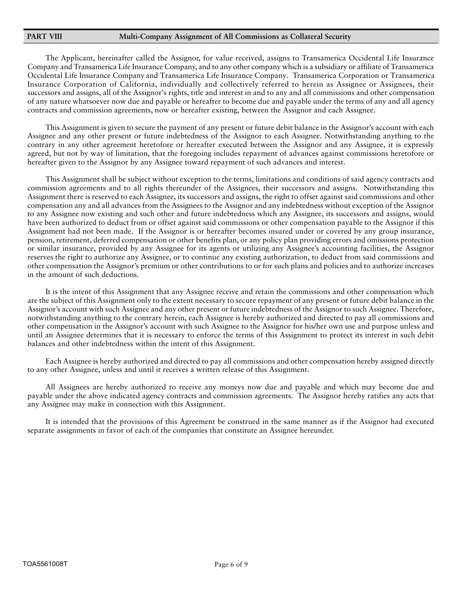### **PART VIII Multi-Company Assignment of All Commissions as Collateral Security**

The Applicant, hereinafter called the Assignor, for value received, assigns to Transamerica Occidental Life Insurance Company and Transamerica Life Insurance Company, and to any other company which is a subsidiary or affiliate of Transamerica Occidental Life Insurance Company and Transamerica Life Insurance Company. Transamerica Corporation or Transamerica Insurance Corporation of California, individually and collectively referred to herein as Assignee or Assignees, their successors and assigns, all of the Assignor's rights, title and interest in and to any and all commissions and other compensation of any nature whatsoever now due and payable or hereafter to become due and payable under the terms of any and all agency contracts and commission agreements, now or hereafter existing, between the Assignor and each Assignee.

This Assignment is given to secure the payment of any present or future debit balance in the Assignor's account with each Assignee and any other present or future indebtedness of the Assignor to each Assignee. Notwithstanding anything to the contrary in any other agreement heretofore or hereafter executed between the Assignor and any Assignee, it is expressly agreed, but not by way of limitation, that the foregoing includes repayment of advances against commissions heretofore or hereafter given to the Assignor by any Assignee toward repayment of such advances and interest.

This Assignment shall be subject without exception to the terms, limitations and conditions of said agency contracts and commission agreements and to all rights thereunder of the Assignees, their successors and assigns. Notwithstanding this Assignment there is reserved to each Assignee, its successors and assigns, the right to offset against said commissions and other compensation any and all advances from the Assignees to the Assignor and any indebtedness without exception of the Assignor to any Assignee now existing and such other and future indebtedness which any Assignee, its successors and assigns, would have been authorized to deduct from or offset against said commissions or other compensation payable to the Assignor if this Assignment had not been made. If the Assignor is or hereafter becomes insured under or covered by any group insurance, pension, retirement, deferred compensation or other benefits plan, or any policy plan providing errors and omissions protection or similar insurance, provided by any Assignee for its agents or utilizing any Assignee's accounting facilities, the Assignor reserves the right to authorize any Assignee, or to continue any existing authorization, to deduct from said commissions and other compensation the Assignor's premium or other contributions to or for such plans and policies and to authorize increases in the amount of such deductions.

It is the intent of this Assignment that any Assignee receive and retain the commissions and other compensation which are the subject of this Assignment only to the extent necessary to secure repayment of any present or future debit balance in the Assignor's account with such Assignee and any other present or future indebtedness of the Assignor to such Assignee. Therefore, notwithstanding anything to the contrary herein, each Assignee is hereby authorized and directed to pay all commissions and other compensation in the Assignor's account with such Assignee to the Assignor for his/her own use and purpose unless and until an Assignee determines that it is necessary to enforce the terms of this Assignment to protect its interest in such debit balances and other indebtedness within the intent of this Assignment.

Each Assignee is hereby authorized and directed to pay all commissions and other compensation hereby assigned directly to any other Assignee, unless and until it receives a written release of this Assignment.

All Assignees are hereby authorized to receive any moneys now due and payable and which may become due and payable under the above indicated agency contracts and commission agreements. The Assignor hereby ratifies any acts that any Assignee may make in connection with this Assignment.

It is intended that the provisions of this Agreement be construed in the same manner as if the Assignor had executed separate assignments in favor of each of the companies that constitute an Assignee hereunder.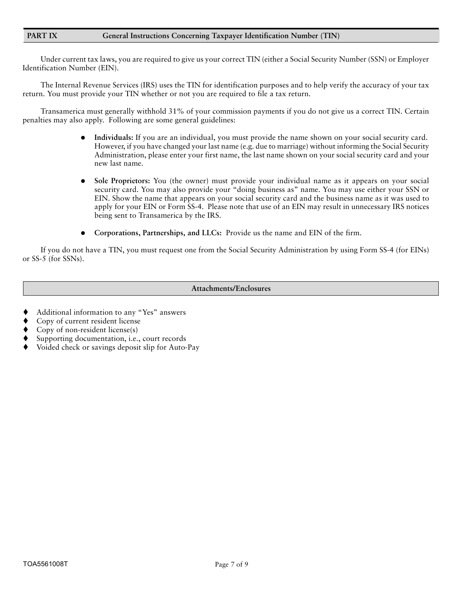## **PART IX General Instructions Concerning Taxpayer Identification Number (TIN)**

Under current tax laws, you are required to give us your correct TIN (either a Social Security Number (SSN) or Employer Identification Number (EIN).

The Internal Revenue Services (IRS) uses the TIN for identification purposes and to help verify the accuracy of your tax return. You must provide your TIN whether or not you are required to file a tax return.

Transamerica must generally withhold 31% of your commission payments if you do not give us a correct TIN. Certain penalties may also apply. Following are some general guidelines:

- **Individuals:** If you are an individual, you must provide the name shown on your social security card. However, if you have changed your last name (e.g. due to marriage) without informing the Social Security Administration, please enter your first name, the last name shown on your social security card and your new last name.
- **Sole Proprietors:** You (the owner) must provide your individual name as it appears on your social security card. You may also provide your "doing business as" name. You may use either your SSN or EIN. Show the name that appears on your social security card and the business name as it was used to apply for your EIN or Form SS-4. Please note that use of an EIN may result in unnecessary IRS notices being sent to Transamerica by the IRS. ●
- **Corporations, Partnerships, and LLCs:** Provide us the name and EIN of the firm. ●

If you do not have a TIN, you must request one from the Social Security Administration by using Form SS-4 (for EINs) or SS-5 (for SSNs).

### **Attachments/Enclosures**

- Additional information to any "Yes" answers
- Copy of current resident license
- Copy of non-resident license(s)
- Supporting documentation, i.e., court records
- Voided check or savings deposit slip for Auto-Pay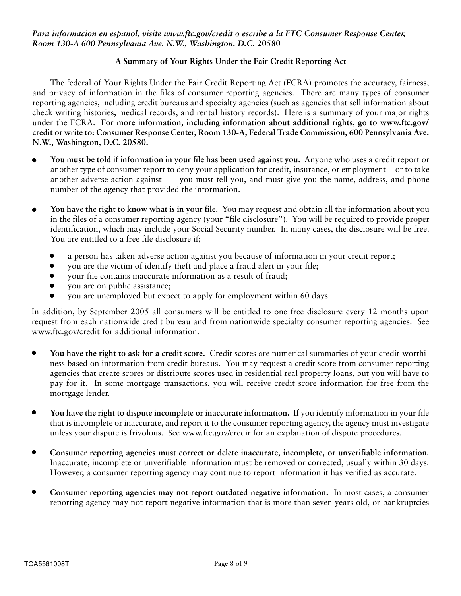# *Para informacion en espanol, visite www.ftc.gov/credit o escribe a la FTC Consumer Response Center, Room 130-A 600 Pennsylvania Ave. N.W., Washington, D.C.* **20580**

# **A Summary of Your Rights Under the Fair Credit Reporting Act**

The federal of Your Rights Under the Fair Credit Reporting Act (FCRA) promotes the accuracy, fairness, and privacy of information in the files of consumer reporting agencies. There are many types of consumer reporting agencies, including credit bureaus and specialty agencies (such as agencies that sell information about check writing histories, medical records, and rental history records). Here is a summary of your major rights under the FCRA. **For more information, including information about additional rights, go to www.ftc.gov/ credit or write to: Consumer Response Center, Room 130-A, Federal Trade Commission, 600 Pennsylvania Ave. N.W., Washington, D.C. 20580.**

- **You must be told if information in your file has been used against you.** Anyone who uses a credit report or another type of consumer report to deny your application for credit, insurance, or employment — or to take another adverse action against  $-$  you must tell you, and must give you the name, address, and phone number of the agency that provided the information. ●
- **You have the right to know what is in your file.** You may request and obtain all the information about you in the files of a consumer reporting agency (your "file disclosure"). You will be required to provide proper identification, which may include your Social Security number. In many cases, the disclosure will be free. You are entitled to a free file disclosure if;  $\bullet$ 
	- a person has taken adverse action against you because of information in your credit report;
	- you are the victim of identify theft and place a fraud alert in your file;
	- your file contains inaccurate information as a result of fraud;
	- you are on public assistance;
	- you are unemployed but expect to apply for employment within 60 days.

In addition, by September 2005 all consumers will be entitled to one free disclosure every 12 months upon request from each nationwide credit bureau and from nationwide specialty consumer reporting agencies. See www.ftc.gov/credit for additional information.

- **You have the right to ask for a credit score.** Credit scores are numerical summaries of your credit-worthiness based on information from credit bureaus. You may request a credit score from consumer reporting agencies that create scores or distribute scores used in residential real property loans, but you will have to pay for it. In some mortgage transactions, you will receive credit score information for free from the mortgage lender. ●
- **You have the right to dispute incomplete or inaccurate information.** If you identify information in your file that is incomplete or inaccurate, and report it to the consumer reporting agency, the agency must investigate unless your dispute is frivolous. See www.ftc.gov/credir for an explanation of dispute procedures.  $\bullet$
- **Consumer reporting agencies must correct or delete inaccurate, incomplete, or unverifiable information.** Inaccurate, incomplete or unverifiable information must be removed or corrected, usually within 30 days. However, a consumer reporting agency may continue to report information it has verified as accurate.  $\bullet$
- **Consumer reporting agencies may not report outdated negative information.** In most cases, a consumer reporting agency may not report negative information that is more than seven years old, or bankruptcies  $\bullet$